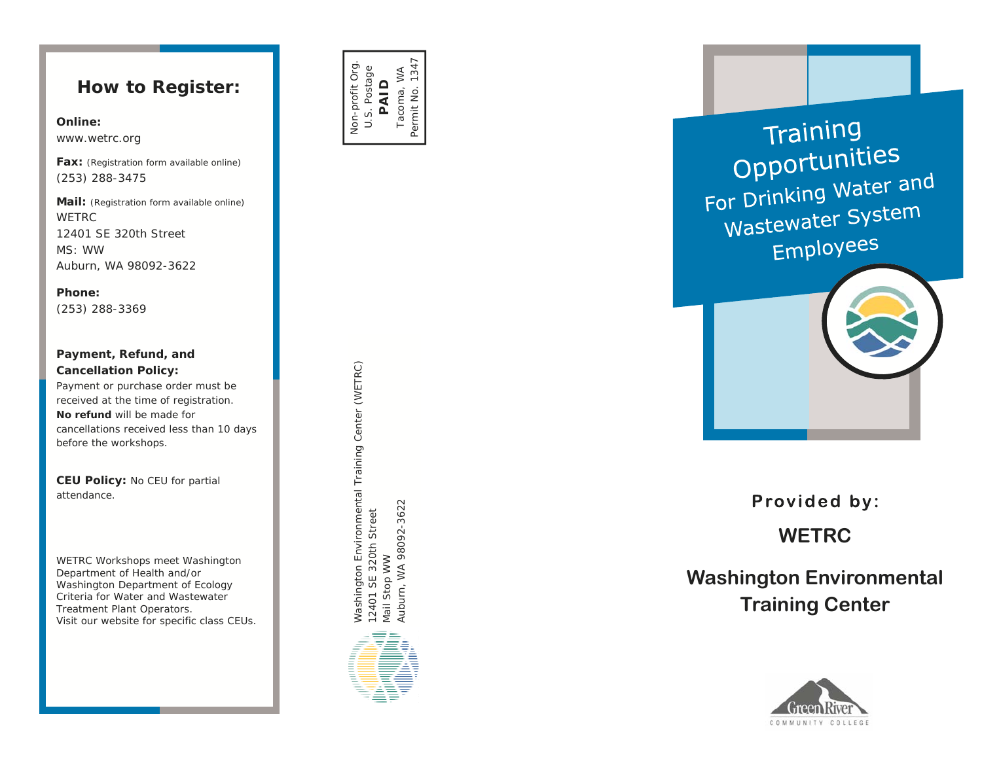### **How to Register:**

#### **Online:**

www.wetrc.org

**Fax:** *(Registration form available online)* (253) 288-3475

**Mail:** *(Registration form available online)* WETRC 12401 SE 320th Street MS: WW Auburn, WA 98092-3622

**Phone:**(253) 288-3369

#### **Payment, Refund, and Cancellation Policy:**

Payment or purchase order must be received at the time of registration. **No refund** will be made for cancellations received less than 10 days before the workshops.

**CEU Policy:** No CEU for partial attendance.

*WETRC Workshops meet Washington Department of Health and/or Washington Department of Ecology Criteria for Water and Wastewater Treatment Plant Operators. Visit our website for specific class CEUs.* 







Provided by:

**WETRC** 

# **Washington Environmental Training Center**